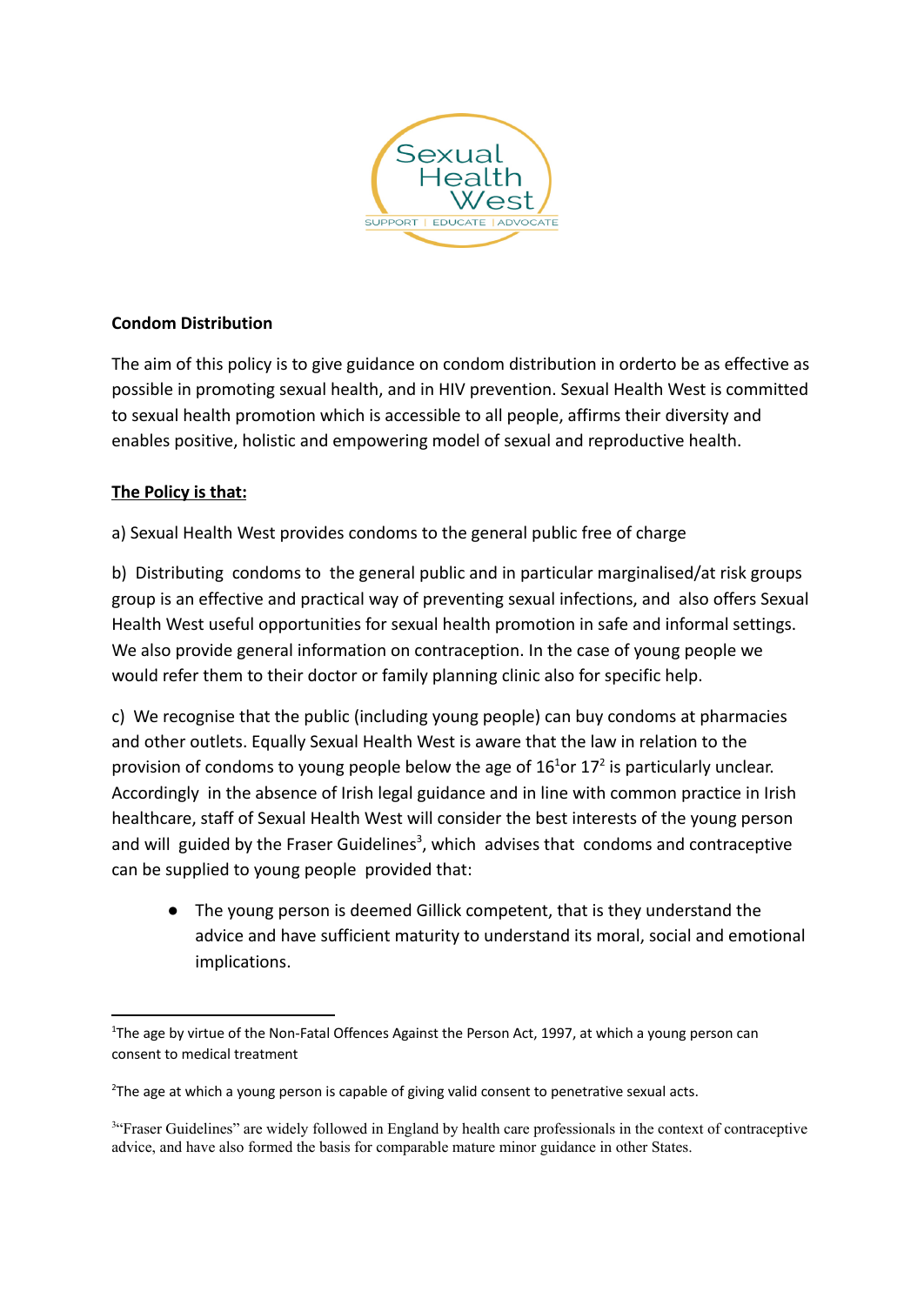

## **Condom Distribution**

The aim of this policy is to give guidance on condom distribution in orderto be as effective as possible in promoting sexual health, and in HIV prevention. Sexual Health West is committed to sexual health promotion which is accessible to all people, affirms their diversity and enables positive, holistic and empowering model of sexual and reproductive health.

## **The Policy is that:**

a) Sexual Health West provides condoms to the general public free of charge

b) Distributing condoms to the general public and in particular marginalised/at risk groups group is an effective and practical way of preventing sexual infections, and also offers Sexual Health West useful opportunities for sexual health promotion in safe and informal settings. We also provide general information on contraception. In the case of young people we would refer them to their doctor or family planning clinic also for specific help.

c) We recognise that the public (including young people) can buy condoms at pharmacies and other outlets. Equally Sexual Health West is aware that the law in relation to the provision of condoms to young people below the age of  $16<sup>1</sup>$ or 17<sup>2</sup> is particularly unclear. Accordingly in the absence of Irish legal guidance and in line with common practice in Irish healthcare, staff of Sexual Health West will consider the best interests of the young person and will guided by the Fraser Guidelines<sup>3</sup>, which advises that condoms and contraceptive can be supplied to young people provided that:

● The young person is deemed Gillick competent, that is they understand the advice and have sufficient maturity to understand its moral, social and emotional implications.

<sup>&</sup>lt;sup>1</sup>The age by virtue of the Non-Fatal Offences Against the Person Act, 1997, at which a young person can consent to medical treatment

<sup>&</sup>lt;sup>2</sup>The age at which a young person is capable of giving valid consent to penetrative sexual acts.

<sup>&</sup>lt;sup>3"</sup>Fraser Guidelines" are widely followed in England by health care professionals in the context of contraceptive advice, and have also formed the basis for comparable mature minor guidance in other States.